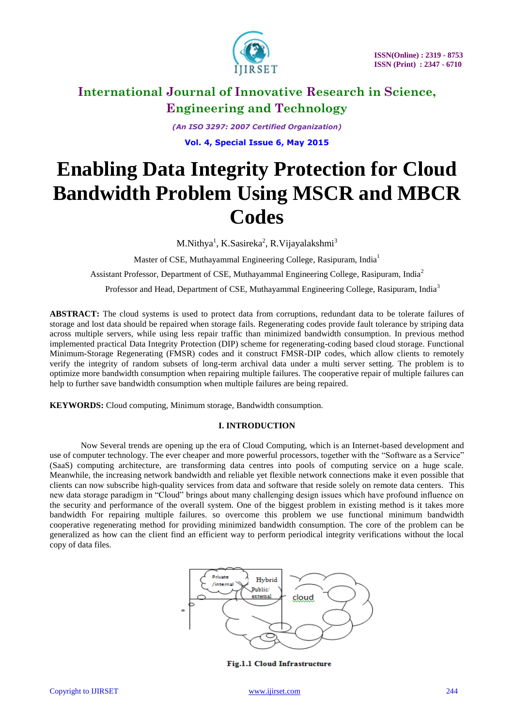

*(An ISO 3297: 2007 Certified Organization)* **Vol. 4, Special Issue 6, May 2015**

# **Enabling Data Integrity Protection for Cloud Bandwidth Problem Using MSCR and MBCR Codes**

M.Nithya<sup>1</sup>, K.Sasireka<sup>2</sup>, R.Vijayalakshmi<sup>3</sup>

Master of CSE, Muthayammal Engineering College, Rasipuram, India<sup>1</sup>

Assistant Professor, Department of CSE, Muthayammal Engineering College, Rasipuram, India<sup>2</sup>

Professor and Head, Department of CSE, Muthayammal Engineering College, Rasipuram, India<sup>3</sup>

**ABSTRACT:** The cloud systems is used to protect data from corruptions, redundant data to be tolerate failures of storage and lost data should be repaired when storage fails. Regenerating codes provide fault tolerance by striping data across multiple servers, while using less repair traffic than minimized bandwidth consumption. In previous method implemented practical Data Integrity Protection (DIP) scheme for regenerating-coding based cloud storage. Functional Minimum-Storage Regenerating (FMSR) codes and it construct FMSR-DIP codes, which allow clients to remotely verify the integrity of random subsets of long-term archival data under a multi server setting. The problem is to optimize more bandwidth consumption when repairing multiple failures. The cooperative repair of multiple failures can help to further save bandwidth consumption when multiple failures are being repaired.

**KEYWORDS:** Cloud computing, Minimum storage, Bandwidth consumption.

# **I. INTRODUCTION**

Now Several trends are opening up the era of Cloud Computing, which is an Internet-based development and use of computer technology. The ever cheaper and more powerful processors, together with the "Software as a Service" (SaaS) computing architecture, are transforming data centres into pools of computing service on a huge scale. Meanwhile, the increasing network bandwidth and reliable yet flexible network connections make it even possible that clients can now subscribe high-quality services from data and software that reside solely on remote data centers. This new data storage paradigm in "Cloud" brings about many challenging design issues which have profound influence on the security and performance of the overall system. One of the biggest problem in existing method is it takes more bandwidth For repairing multiple failures. so overcome this problem we use functional minimum bandwidth cooperative regenerating method for providing minimized bandwidth consumption. The core of the problem can be generalized as how can the client find an efficient way to perform periodical integrity verifications without the local copy of data files.



Fig.1.1 Cloud Infrastructure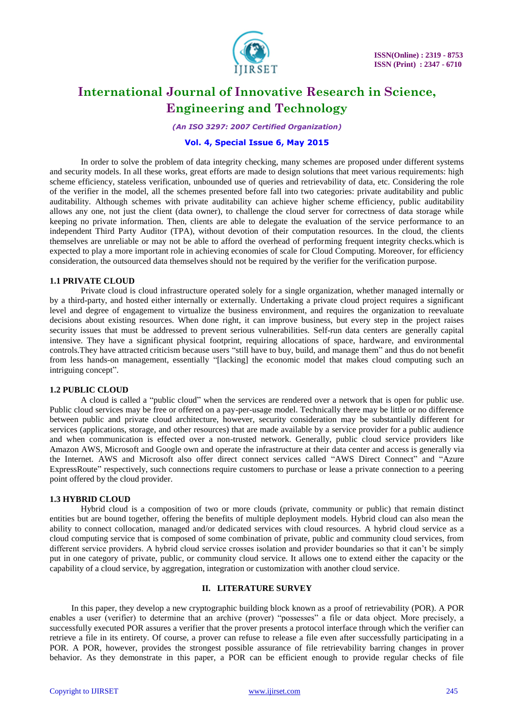

*(An ISO 3297: 2007 Certified Organization)*

# **Vol. 4, Special Issue 6, May 2015**

In order to solve the problem of data integrity checking, many schemes are proposed under different systems and security models. In all these works, great efforts are made to design solutions that meet various requirements: high scheme efficiency, stateless verification, unbounded use of queries and retrievability of data, etc. Considering the role of the verifier in the model, all the schemes presented before fall into two categories: private auditability and public auditability. Although schemes with private auditability can achieve higher scheme efficiency, public auditability allows any one, not just the client (data owner), to challenge the cloud server for correctness of data storage while keeping no private information. Then, clients are able to delegate the evaluation of the service performance to an independent Third Party Auditor (TPA), without devotion of their computation resources. In the cloud, the clients themselves are unreliable or may not be able to afford the overhead of performing frequent integrity checks.which is expected to play a more important role in achieving economies of scale for Cloud Computing. Moreover, for efficiency consideration, the outsourced data themselves should not be required by the verifier for the verification purpose.

### **1.1 PRIVATE CLOUD**

Private cloud is cloud infrastructure operated solely for a single organization, whether managed internally or by a third-party, and hosted either internally or externally. Undertaking a private cloud project requires a significant level and degree of engagement to virtualize the business environment, and requires the organization to reevaluate decisions about existing resources. When done right, it can improve business, but every step in the project raises security issues that must be addressed to prevent serious vulnerabilities. Self-run data centers are generally capital intensive. They have a significant physical footprint, requiring allocations of space, hardware, and environmental controls. They have attracted criticism because users "still have to buy, build, and manage them" and thus do not benefit from less hands-on management, essentially "[lacking] the economic model that makes cloud computing such an intriguing concept".

### **1.2 PUBLIC CLOUD**

A cloud is called a "public cloud" when the services are rendered over a network that is open for public use. Public cloud services may be free or offered on a pay-per-usage model. Technically there may be little or no difference between public and private cloud architecture, however, security consideration may be substantially different for services (applications, storage, and other resources) that are made available by a service provider for a public audience and when communication is effected over a non-trusted network. Generally, public cloud service providers like Amazon AWS, Microsoft and Google own and operate the infrastructure at their [data center](http://en.wikipedia.org/wiki/Data_center) and access is generally via the Internet. AWS and Microsoft also offer direct connect services called "AWS Direct Connect" and "Azure ExpressRoute" respectively, such connections require customers to purchase or lease a private connection to a peering point offered by the cloud provider.

### **1.3 HYBRID CLOUD**

Hybrid cloud is a composition of two or more clouds (private, community or public) that remain distinct entities but are bound together, offering the benefits of multiple deployment models. Hybrid cloud can also mean the ability to connect collocation, managed and/or dedicated services with cloud resources. A hybrid cloud service as a cloud computing service that is composed of some combination of private, public and community cloud services, from different service providers. A hybrid cloud service crosses isolation and provider boundaries so that it can't be simply put in one category of private, public, or community cloud service. It allows one to extend either the capacity or the capability of a cloud service, by aggregation, integration or customization with another cloud service.

# **II. LITERATURE SURVEY**

 In this paper, they develop a new cryptographic building block known as a proof of retrievability (POR). A POR enables a user (verifier) to determine that an archive (prover) "possesses" a file or data object. More precisely, a successfully executed POR assures a verifier that the prover presents a protocol interface through which the verifier can retrieve a file in its entirety. Of course, a prover can refuse to release a file even after successfully participating in a POR. A POR, however, provides the strongest possible assurance of file retrievability barring changes in prover behavior. As they demonstrate in this paper, a POR can be efficient enough to provide regular checks of file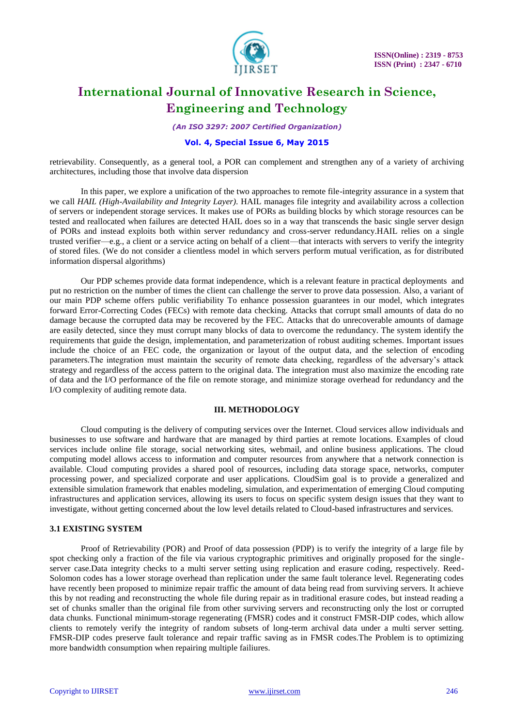

*(An ISO 3297: 2007 Certified Organization)*

# **Vol. 4, Special Issue 6, May 2015**

retrievability. Consequently, as a general tool, a POR can complement and strengthen any of a variety of archiving architectures, including those that involve data dispersion

In this paper, we explore a unification of the two approaches to remote file-integrity assurance in a system that we call *HAIL (High-Availability and Integrity Layer)*. HAIL manages file integrity and availability across a collection of servers or independent storage services. It makes use of PORs as building blocks by which storage resources can be tested and reallocated when failures are detected HAIL does so in a way that transcends the basic single server design of PORs and instead exploits both within server redundancy and cross-server redundancy.HAIL relies on a single trusted verifier—e.g., a client or a service acting on behalf of a client—that interacts with servers to verify the integrity of stored files. (We do not consider a clientless model in which servers perform mutual verification, as for distributed information dispersal algorithms)

Our PDP schemes provide data format independence, which is a relevant feature in practical deployments and put no restriction on the number of times the client can challenge the server to prove data possession. Also, a variant of our main PDP scheme offers public verifiability To enhance possession guarantees in our model, which integrates forward Error-Correcting Codes (FECs) with remote data checking. Attacks that corrupt small amounts of data do no damage because the corrupted data may be recovered by the FEC. Attacks that do unrecoverable amounts of damage are easily detected, since they must corrupt many blocks of data to overcome the redundancy. The system identify the requirements that guide the design, implementation, and parameterization of robust auditing schemes. Important issues include the choice of an FEC code, the organization or layout of the output data, and the selection of encoding parameters.The integration must maintain the security of remote data checking, regardless of the adversary's attack strategy and regardless of the access pattern to the original data. The integration must also maximize the encoding rate of data and the I/O performance of the file on remote storage, and minimize storage overhead for redundancy and the I/O complexity of auditing remote data.

# **III. METHODOLOGY**

Cloud computing is the delivery of computing services over the Internet. Cloud services allow individuals and businesses to use software and hardware that are managed by third parties at remote locations. Examples of cloud services include online file storage, social networking sites, webmail, and online business applications. The cloud computing model allows access to information and computer resources from anywhere that a network connection is available. Cloud computing provides a shared pool of resources, including data storage space, networks, computer processing power, and specialized corporate and user applications. CloudSim goal is to provide a generalized and extensible simulation framework that enables modeling, simulation, and experimentation of emerging Cloud computing infrastructures and application services, allowing its users to focus on specific system design issues that they want to investigate, without getting concerned about the low level details related to Cloud-based infrastructures and services.

### **3.1 EXISTING SYSTEM**

Proof of Retrievability (POR) and Proof of data possession (PDP) is to verify the integrity of a large file by spot checking only a fraction of the file via various cryptographic primitives and originally proposed for the singleserver case.Data integrity checks to a multi server setting using replication and erasure coding, respectively. Reed-Solomon codes has a lower storage overhead than replication under the same fault tolerance level. Regenerating codes have recently been proposed to minimize repair traffic the amount of data being read from surviving servers. It achieve this by not reading and reconstructing the whole file during repair as in traditional erasure codes, but instead reading a set of chunks smaller than the original file from other surviving servers and reconstructing only the lost or corrupted data chunks. Functional minimum-storage regenerating (FMSR) codes and it construct FMSR-DIP codes, which allow clients to remotely verify the integrity of random subsets of long-term archival data under a multi server setting. FMSR-DIP codes preserve fault tolerance and repair traffic saving as in FMSR codes.The Problem is to optimizing more bandwidth consumption when repairing multiple failiures.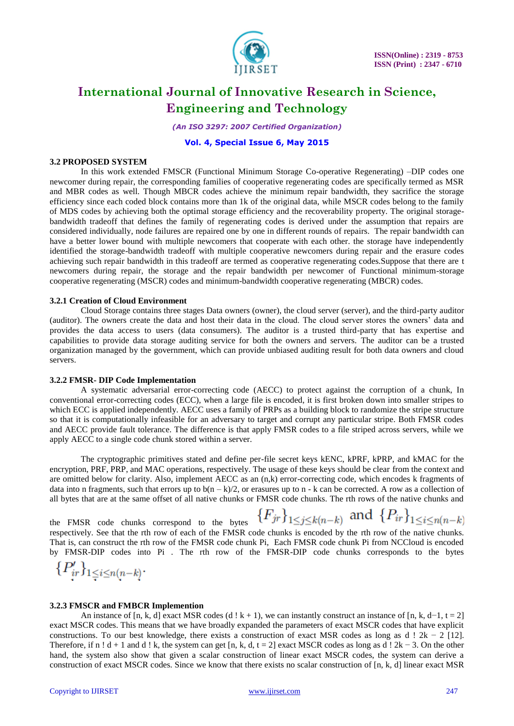

*(An ISO 3297: 2007 Certified Organization)*

# **Vol. 4, Special Issue 6, May 2015**

### **3.2 PROPOSED SYSTEM**

In this work extended FMSCR (Functional Minimum Storage Co-operative Regenerating) –DIP codes one newcomer during repair, the corresponding families of cooperative regenerating codes are specifically termed as MSR and MBR codes as well. Though MBCR codes achieve the minimum repair bandwidth, they sacrifice the storage efficiency since each coded block contains more than 1k of the original data, while MSCR codes belong to the family of MDS codes by achieving both the optimal storage efficiency and the recoverability property. The original storagebandwidth tradeoff that defines the family of regenerating codes is derived under the assumption that repairs are considered individually, node failures are repaired one by one in different rounds of repairs. The repair bandwidth can have a better lower bound with multiple newcomers that cooperate with each other. the storage have independently identified the storage-bandwidth tradeoff with multiple cooperative newcomers during repair and the erasure codes achieving such repair bandwidth in this tradeoff are termed as cooperative regenerating codes.Suppose that there are t newcomers during repair, the storage and the repair bandwidth per newcomer of Functional minimum-storage cooperative regenerating (MSCR) codes and minimum-bandwidth cooperative regenerating (MBCR) codes.

#### **3.2.1 Creation of Cloud Environment**

Cloud Storage contains three stages Data owners (owner), the cloud server (server), and the third-party auditor (auditor). The owners create the data and host their data in the cloud. The cloud server stores the owners' data and provides the data access to users (data consumers). The auditor is a trusted third-party that has expertise and capabilities to provide data storage auditing service for both the owners and servers. The auditor can be a trusted organization managed by the government, which can provide unbiased auditing result for both data owners and cloud servers.

#### **3.2.2 FMSR- DIP Code Implementation**

A systematic adversarial error-correcting code (AECC) to protect against the corruption of a chunk, In conventional error-correcting codes (ECC), when a large file is encoded, it is first broken down into smaller stripes to which ECC is applied independently. AECC uses a family of PRPs as a building block to randomize the stripe structure so that it is computationally infeasible for an adversary to target and corrupt any particular stripe. Both FMSR codes and AECC provide fault tolerance. The difference is that apply FMSR codes to a file striped across servers, while we apply AECC to a single code chunk stored within a server.

The cryptographic primitives stated and define per-file secret keys kENC, kPRF, kPRP, and kMAC for the encryption, PRF, PRP, and MAC operations, respectively. The usage of these keys should be clear from the context and are omitted below for clarity. Also, implement AECC as an (n,k) error-correcting code, which encodes k fragments of data into n fragments, such that errors up to  $b(n - k)/2$ , or erasures up to n - k can be corrected. A row as a collection of all bytes that are at the same offset of all native chunks or FMSR code chunks. The rth rows of the native chunks and

 ${F_{jr}}_{1 \leq j \leq k(n-k)}$  and  ${P_{ir}}_{1 \leq i \leq n(n-k)}$ the FMSR code chunks correspond to the bytes respectively. See that the rth row of each of the FMSR code chunks is encoded by the rth row of the native chunks. That is, can construct the rth row of the FMSR code chunk Pi, Each FMSR code chunk Pi from NCCloud is encoded by FMSR-DIP codes into Pi . The rth row of the FMSR-DIP code chunks corresponds to the bytes

 ${P'_{ir}}_{1 \leq i \leq n(n-k)}.$ 

### **3.2.3 FMSCR and FMBCR Implemention**

An instance of  $[n, k, d]$  exact MSR codes  $(d! k + 1)$ , we can instantly construct an instance of  $[n, k, d-1, t = 2]$ exact MSCR codes. This means that we have broadly expanded the parameters of exact MSCR codes that have explicit constructions. To our best knowledge, there exists a construction of exact MSR codes as long as d !  $2k - 2$  [12]. Therefore, if n ! d + 1 and d ! k, the system can get [n, k, d, t = 2] exact MSCR codes as long as d !  $2k - 3$ . On the other hand, the system also show that given a scalar construction of linear exact MSCR codes, the system can derive a construction of exact MSCR codes. Since we know that there exists no scalar construction of [n, k, d] linear exact MSR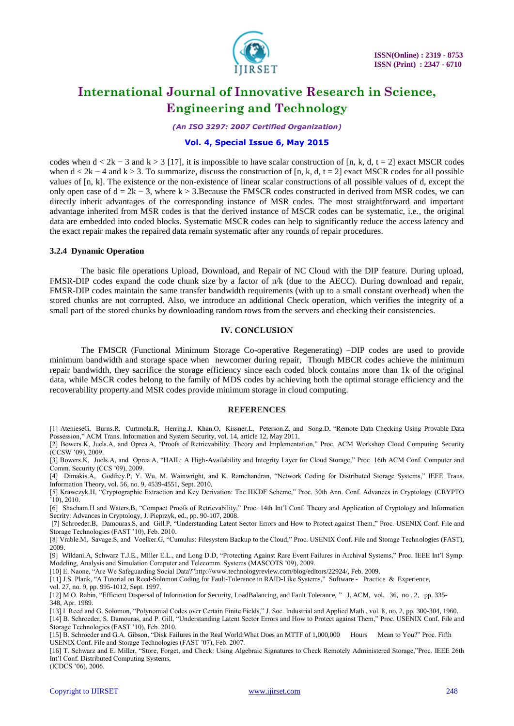

*(An ISO 3297: 2007 Certified Organization)*

### **Vol. 4, Special Issue 6, May 2015**

codes when  $d < 2k - 3$  and  $k > 3$  [17], it is impossible to have scalar construction of [n, k, d, t = 2] exact MSCR codes when  $d < 2k - 4$  and  $k > 3$ . To summarize, discuss the construction of [n, k, d, t = 2] exact MSCR codes for all possible values of [n, k]. The existence or the non-existence of linear scalar constructions of all possible values of d, except the only open case of  $d = 2k - 3$ , where  $k > 3$ . Because the FMSCR codes constructed in derived from MSR codes, we can directly inherit advantages of the corresponding instance of MSR codes. The most straightforward and important advantage inherited from MSR codes is that the derived instance of MSCR codes can be systematic, i.e., the original data are embedded into coded blocks. Systematic MSCR codes can help to significantly reduce the access latency and the exact repair makes the repaired data remain systematic after any rounds of repair procedures.

### **3.2.4 Dynamic Operation**

The basic file operations Upload, Download, and Repair of NC Cloud with the DIP feature. During upload, FMSR-DIP codes expand the code chunk size by a factor of n/k (due to the AECC). During download and repair, FMSR-DIP codes maintain the same transfer bandwidth requirements (with up to a small constant overhead) when the stored chunks are not corrupted. Also, we introduce an additional Check operation, which verifies the integrity of a small part of the stored chunks by downloading random rows from the servers and checking their consistencies.

#### **IV. CONCLUSION**

The FMSCR (Functional Minimum Storage Co-operative Regenerating) –DIP codes are used to provide minimum bandwidth and storage space when newcomer during repair, Though MBCR codes achieve the minimum repair bandwidth, they sacrifice the storage efficiency since each coded block contains more than 1k of the original data, while MSCR codes belong to the family of MDS codes by achieving both the optimal storage efficiency and the recoverability property.and MSR codes provide minimum storage in cloud computing.

#### **REFERENCES**

[1] AtenieseG, Burns.R, Curtmola.R, Herring.J, Khan.O, Kissner.L, Peterson.Z, and Song.D, "Remote Data Checking Using Provable Data Possession," ACM Trans. Information and System Security, vol. 14, article 12, May 2011.

[2] Bowers.K, Juels.A, and Oprea.A, "Proofs of Retrievability: Theory and Implementation," Proc. ACM Workshop Cloud Computing Security (CCSW '09), 2009.

[3] Bowers.K, Juels.A, and Oprea.A, "HAIL: A High-Availability and Integrity Layer for Cloud Storage," Proc. 16th ACM Conf. Computer and Comm. Security (CCS '09), 2009.

[4] Dimakis.A, Godfrey.P, Y. Wu, M. Wainwright, and K. Ramchandran, "Network Coding for Distributed Storage Systems," IEEE Trans. Information Theory, vol. 56, no. 9, 4539-4551, Sept. 2010.

[5] Krawczyk.H, "Cryptographic Extraction and Key Derivation: The HKDF Scheme," Proc. 30th Ann. Conf. Advances in Cryptology (CRYPTO '10), 2010.

[6] Shacham.H and Waters.B, "Compact Proofs of Retrievability," Proc. 14th Int'l Conf. Theory and Application of Cryptology and Information Secrity: Advances in Cryptology, J. Pieprzyk, ed., pp. 90-107, 2008.

[7] Schroeder.B, Damouras.S, and Gill.P, "Understanding Latent Sector Errors and How to Protect against Them," Proc. USENIX Conf. File and Storage Technologies (FAST '10), Feb. 2010.

[8] Vrable.M, Savage.S, and Voelker.G, "Cumulus: Filesystem Backup to the Cloud," Proc. USENIX Conf. File and Storage Technologies (FAST), 2009.

[9] Wildani.A, Schwarz T.J.E., Miller E.L., and Long D.D, "Protecting Against Rare Event Failures in Archival Systems," Proc. IEEE Int'l Symp. Modeling, Analysis and Simulation Computer and Telecomm. Systems (MASCOTS '09), 2009.

[10] E. Naone, "Are We Safeguarding Social Data?"http://www.technologyreview.com/blog/editors/22924/, Feb. 2009.

[11] J.S. Plank, "A Tutorial on Reed-Solomon Coding for Fault-Tolerance in RAID-Like Systems," Software - Practice & Experience,

vol. 27, no. 9, pp. 995-1012, Sept. 1997.

[12] M.O. Rabin, "Efficient Dispersal of Information for Security, LoadBalancing, and Fault Tolerance, " J. ACM, vol. 36, no . 2, pp. 335-348, Apr. 1989.

[13] I. Reed and G. Solomon, "Polynomial Codes over Certain Finite Fields," J. Soc. Industrial and Applied Math., vol. 8, no. 2, pp. 300-304, 1960. [14] B. Schroeder, S. Damouras, and P. Gill, "Understanding Latent Sector Errors and How to Protect against Them," Proc. USENIX Conf. File and Storage Technologies (FAST '10), Feb. 2010.

[15] B. Schroeder and G.A. Gibson, "Disk Failures in the Real World:What Does an MTTF of 1,000,000 Hours Mean to You?" Proc. Fifth USENIX Conf. File and Storage Technologies (FAST '07), Feb. 2007.

[16] T. Schwarz and E. Miller, "Store, Forget, and Check: Using Algebraic Signatures to Check Remotely Administered Storage,"Proc. IEEE 26th Int'l Conf. Distributed Computing Systems,

(ICDCS '06), 2006.